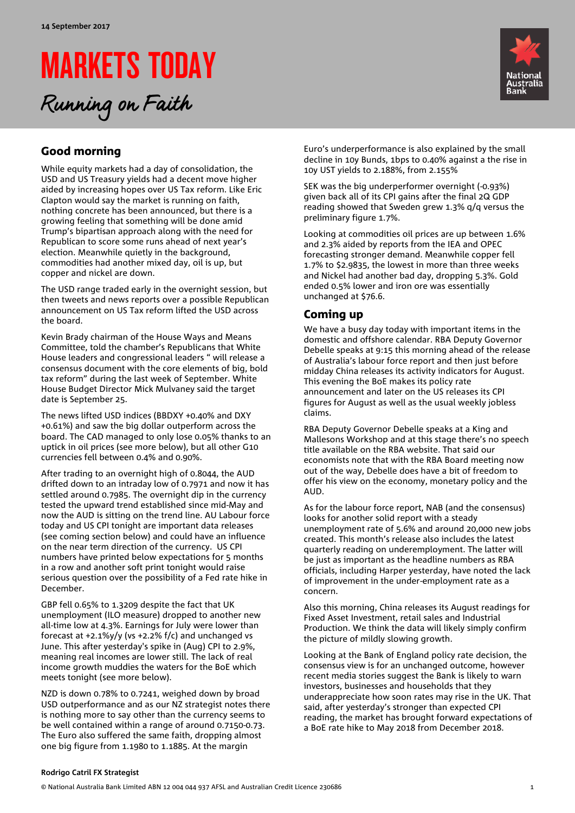# MARKETS TODAY

Running on Faith



## Good morning

While equity markets had a day of consolidation, the USD and US Treasury yields had a decent move higher aided by increasing hopes over US Tax reform. Like Eric Clapton would say the market is running on faith, nothing concrete has been announced, but there is a growing feeling that something will be done amid Trump's bipartisan approach along with the need for Republican to score some runs ahead of next year's election. Meanwhile quietly in the background, commodities had another mixed day, oil is up, but copper and nickel are down.

The USD range traded early in the overnight session, but then tweets and news reports over a possible Republican announcement on US Tax reform lifted the USD across the board.

Kevin Brady chairman of the House Ways and Means Committee, told the chamber's Republicans that White House leaders and congressional leaders " will release a consensus document with the core elements of big, bold tax reform" during the last week of September. White House Budget Director Mick Mulvaney said the target date is September 25.

The news lifted USD indices (BBDXY +0.40% and DXY +0.61%) and saw the big dollar outperform across the board. The CAD managed to only lose 0.05% thanks to an uptick in oil prices (see more below), but all other G10 currencies fell between 0.4% and 0.90%.

After trading to an overnight high of 0.8044, the AUD drifted down to an intraday low of 0.7971 and now it has settled around 0.7985. The overnight dip in the currency tested the upward trend established since mid-May and now the AUD is sitting on the trend line. AU Labour force today and US CPI tonight are important data releases (see coming section below) and could have an influence on the near term direction of the currency. US CPI numbers have printed below expectations for 5 months in a row and another soft print tonight would raise serious question over the possibility of a Fed rate hike in December.

GBP fell 0.65% to 1.3209 despite the fact that UK unemployment (ILO measure) dropped to another new all-time low at 4.3%. Earnings for July were lower than forecast at +2.1%y/y (vs +2.2% f/c) and unchanged vs June. This after yesterday's spike in (Aug) CPI to 2.9%, meaning real incomes are lower still. The lack of real income growth muddies the waters for the BoE which meets tonight (see more below).

NZD is down 0.78% to 0.7241, weighed down by broad USD outperformance and as our NZ strategist notes there is nothing more to say other than the currency seems to be well contained within a range of around 0.7150-0.73. The Euro also suffered the same faith, dropping almost one big figure from 1.1980 to 1.1885. At the margin

Euro's underperformance is also explained by the small decline in 10y Bunds, 1bps to 0.40% against a the rise in 10y UST yields to 2.188%, from 2.155%

SEK was the big underperformer overnight (-0.93%) given back all of its CPI gains after the final 2Q GDP reading showed that Sweden grew 1.3% q/q versus the preliminary figure 1.7%.

Looking at commodities oil prices are up between 1.6% and 2.3% aided by reports from the IEA and OPEC forecasting stronger demand. Meanwhile copper fell 1.7% to \$2.9835, the lowest in more than three weeks and Nickel had another bad day, dropping 5.3%. Gold ended 0.5% lower and iron ore was essentially unchanged at \$76.6.

## Coming up

We have a busy day today with important items in the domestic and offshore calendar. RBA Deputy Governor Debelle speaks at 9:15 this morning ahead of the release of Australia's labour force report and then just before midday China releases its activity indicators for August. This evening the BoE makes its policy rate announcement and later on the US releases its CPI figures for August as well as the usual weekly jobless claims.

RBA Deputy Governor Debelle speaks at a King and Mallesons Workshop and at this stage there's no speech title available on the RBA website. That said our economists note that with the RBA Board meeting now out of the way, Debelle does have a bit of freedom to offer his view on the economy, monetary policy and the AUD.

As for the labour force report, NAB (and the consensus) looks for another solid report with a steady unemployment rate of 5.6% and around 20,000 new jobs created. This month's release also includes the latest quarterly reading on underemployment. The latter will be just as important as the headline numbers as RBA officials, including Harper yesterday, have noted the lack of improvement in the under-employment rate as a concern.

Also this morning, China releases its August readings for Fixed Asset Investment, retail sales and Industrial Production. We think the data will likely simply confirm the picture of mildly slowing growth.

Looking at the Bank of England policy rate decision, the consensus view is for an unchanged outcome, however recent media stories suggest the Bank is likely to warn investors, businesses and households that they underappreciate how soon rates may rise in the UK. That said, after yesterday's stronger than expected CPI reading, the market has brought forward expectations of a BoE rate hike to May 2018 from December 2018.

### **Rodrigo Catril FX Strategist**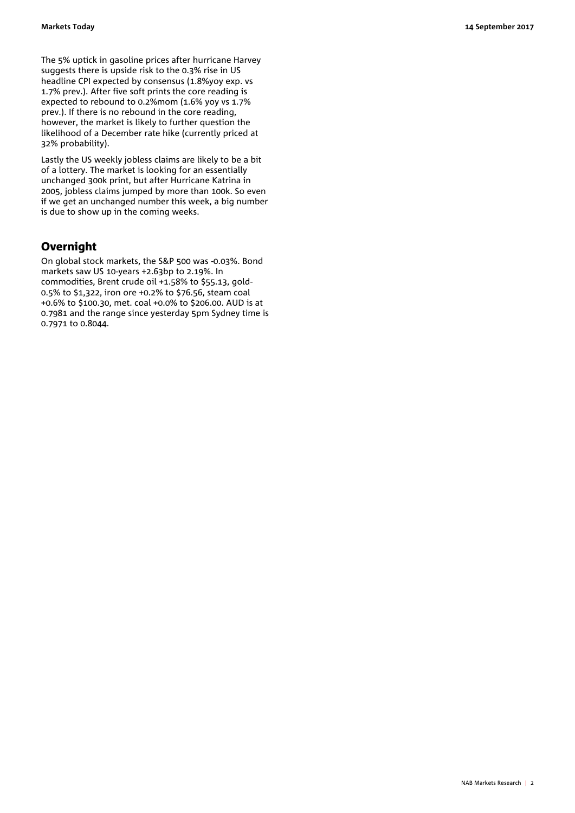The 5% uptick in gasoline prices after hurricane Harvey suggests there is upside risk to the 0.3% rise in US headline CPI expected by consensus (1.8%yoy exp. vs 1.7% prev.). After five soft prints the core reading is expected to rebound to 0.2%mom (1.6% yoy vs 1.7% prev.). If there is no rebound in the core reading, however, the market is likely to further question the likelihood of a December rate hike (currently priced at 32% probability).

Lastly the US weekly jobless claims are likely to be a bit of a lottery. The market is looking for an essentially unchanged 300k print, but after Hurricane Katrina in 2005, jobless claims jumped by more than 100k. So even if we get an unchanged number this week, a big number is due to show up in the coming weeks.

## Overnight

On global stock markets, the S&P 500 was -0.03%. Bond markets saw US 10-years +2.63bp to 2.19%. In commodities, Brent crude oil +1.58% to \$55.13, gold-0.5% to \$1,322, iron ore +0.2% to \$76.56, steam coal +0.6% to \$100.30, met. coal +0.0% to \$206.00. AUD is at 0.7981 and the range since yesterday 5pm Sydney time is 0.7971 to 0.8044.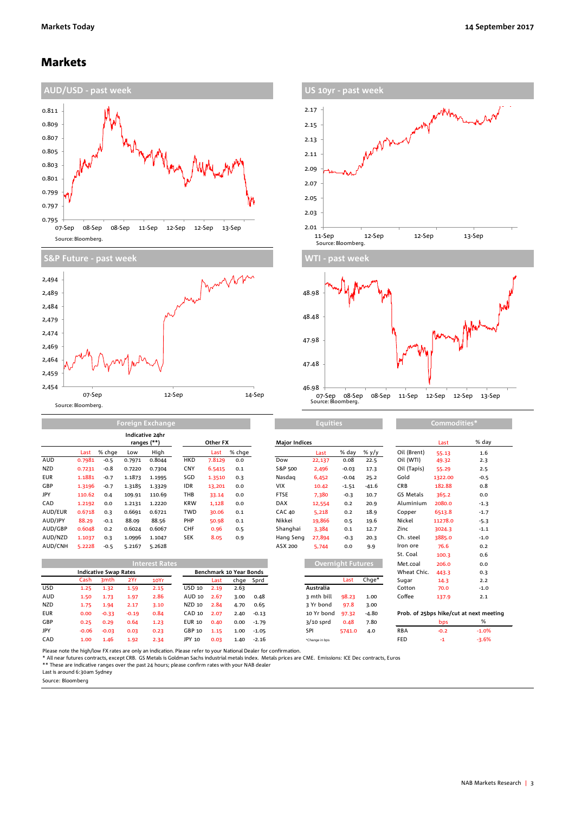## Markets





**Foreign Exchang** 





**Equities Commodities** 

|            |        |        | Indicative 24hr<br>ranges (**) |        | Other FX   |        |        | <b>Major Indices</b> |        |         |         | Last        | % day   |                   |
|------------|--------|--------|--------------------------------|--------|------------|--------|--------|----------------------|--------|---------|---------|-------------|---------|-------------------|
|            | Last   | % chae | Low                            | High   |            | Last   | % chge |                      | Last   | % day   | % $y/y$ | Oil (Brent) | 55.13   | 1.6               |
| <b>AUD</b> | 0.7981 | $-0.5$ | 0.7971                         | 0.8044 | <b>HKD</b> | 7.8129 | 0.0    | Dow                  | 22,137 | 0.08    | 22.5    | Oil (WTI)   | 49.32   | 2.3               |
| <b>NZD</b> | 0.7231 | $-0.8$ | 0.7220                         | 0.7304 | CNY        | 6.5415 | 0.1    | S&P 500              | 2,496  | $-0.03$ | 17.3    | Oil (Tapis) | 55.29   | 2.5               |
| <b>EUR</b> | 1.1881 | $-0.7$ | 1.1873                         | 1.1995 | SGD        | 1.3510 | 0.3    | Nasdag               | 6,452  | $-0.04$ | 25.2    | Gold        | 1322.00 | $-0.5$            |
| GBP        | 1.3196 | $-0.7$ | 1.3185                         | 1.3329 | <b>IDR</b> | 13,201 | 0.0    | <b>VIX</b>           | 10.42  | $-1.51$ | $-41.6$ | <b>CRB</b>  | 182.88  | 0.8               |
| JPY        | 110.62 | 0.4    | 109.91                         | 110.69 | THB        | 33.14  | 0.0    | <b>FTSE</b>          | 7.380  | $-0.3$  | 10.7    | GS Metals   | 365.2   | 0.0               |
| CAD        | 1.2192 | 0.0    | 1.2131                         | 1.2220 | <b>KRW</b> | 1,128  | 0.0    | <b>DAX</b>           | 12,554 | 0.2     | 20.9    | Aluminium   | 2080.0  | $-1.3$            |
| AUD/EUR    | 0.6718 | 0.3    | 0.6691                         | 0.6721 | <b>TWD</b> | 30.06  | 0.1    | <b>CAC 40</b>        | 5,218  | 0.2     | 18.9    | Copper      | 6513.8  | $-1.7$            |
| AUD/JPY    | 88.29  | $-0.1$ | 88.09                          | 88.56  | PHP        | 50.98  | 0.1    | Nikkei               | 19,866 | 0.5     | 19.6    | Nickel      | 11278.0 | $-5.3$            |
| AUD/GBP    | 0.6048 | 0.2    | 0.6024                         | 0.6067 | CHF        | 0.96   | 0.5    | Shanghai             | 3,384  | 0.1     | 12.7    | Zinc        | 3024.3  | $-1.1$            |
| AUD/NZD    | 1.1037 | 0.3    | 1.0996                         | 1.1047 | <b>SEK</b> | 8.05   | 0.9    | Hang Seng            | 27,894 | $-0.3$  | 20.3    | Ch. steel   | 3885.0  | $-1.0$            |
| AUD/CNH    | 5.2228 | $-0.5$ | 5.2167                         | 5.2628 |            |        |        | ASX 200              | 5,744  | 0.0     | 9.9     | Iron ore    | 76.6    | 0.2               |
|            |        |        |                                |        |            |        |        |                      |        |         |         | $C+$ Coal   | $300-7$ | $\sim$ $\epsilon$ |

| <b>AUDILINII</b> | 3.2220  | כיט⊤                         | 3.210/  | 3.2020                |               |      |                         |           | AJA 200 | <b>D</b> , 144    | v.v    | フ・コ   | .           | 19.9   | $\mathsf{u} \cdot \mathsf{v}$           |
|------------------|---------|------------------------------|---------|-----------------------|---------------|------|-------------------------|-----------|---------|-------------------|--------|-------|-------------|--------|-----------------------------------------|
|                  |         |                              |         |                       |               |      |                         |           |         |                   |        |       | St. Coal    | 100.3  | 0.6                                     |
|                  |         |                              |         | <b>Interest Rates</b> |               |      |                         |           |         | Overnight Futures |        |       | Met.coal    | 206.0  | 0.0                                     |
|                  |         | <b>Indicative Swap Rates</b> |         |                       |               |      | Benchmark 10 Year Bonds |           |         |                   |        |       | Wheat Chic. | 443.3  | 0.3                                     |
|                  | Cash    | 3 <sub>mth</sub>             | 2Yr     | 10Yr                  |               | Last |                         | chge Sprd |         |                   | Last   | Chge* | Sugar       | 14.3   | 2.2                                     |
| USD              | 1.25    | 1.32                         | 1.59    | 2.15                  | <b>USD 10</b> | 2.19 | 2.63                    |           |         | Australia         |        |       | Cotton      | 70.0   | $-1.0$                                  |
| AUD              | 1.50    | 1.73                         | 1.97    | 2.86                  | AUD 10        | 2.67 | 3.00                    | 0.48      |         | 3 mth bill        | 98.23  | 1.00  | Coffee      | 137.9  | 2.1                                     |
| NZD              | 1.75    | 1.94                         | 2.17    | 3.10                  | <b>NZD 10</b> | 2.84 | 4.70                    | 0.65      |         | 3 Yr bond         | 97.8   | 3.00  |             |        |                                         |
| <b>EUR</b>       | 0.00    | $-0.33$                      | $-0.19$ | 0.84                  | CAD 10        | 2.07 | 2.40                    | $-0.13$   |         | 10 Yr bond        | 97.32  | -4.80 |             |        | Prob. of 25bps hike/cut at next meeting |
| GBP              | 0.25    | 0.29                         | 0.64    | 1.23                  | <b>EUR 10</b> | 0.40 | 0.00                    | $-1.79$   |         | $3/10$ sprd       | 0.48   | 7.80  |             | bps    | %                                       |
| <b>JPY</b>       | $-0.06$ | $-0.03$                      | 0.03    | 0.23                  | GBP 10        | 1.15 | 1.00                    | $-1.05$   |         | SPI               | 5741.0 | 4.0   | <b>RBA</b>  | $-0.2$ | $-1.0%$                                 |
| CAD              | 1.00    | 1.46                         | 1.92    | 2.34                  | JPY 10        | 0.03 | 1.40                    | $-2.16$   |         | *Change in bps    |        |       | FED         | $-1$   | $-3.6%$                                 |

| ,,,,,,,,,,,                             | בּ+ככ   | ⊥.∪     |  |  |  |  |  |
|-----------------------------------------|---------|---------|--|--|--|--|--|
| Oil (WTI)                               | 49.32   | 2.3     |  |  |  |  |  |
| Oil (Tapis)                             | 55.29   | 2.5     |  |  |  |  |  |
| Gold                                    | 1322.00 | $-0.5$  |  |  |  |  |  |
| <b>CRB</b>                              | 182.88  | 0.8     |  |  |  |  |  |
| GS Metals                               | 365.2   | 0.0     |  |  |  |  |  |
| Aluminium                               | 2080.0  | $-1.3$  |  |  |  |  |  |
| Copper                                  | 6513.8  | $-1.7$  |  |  |  |  |  |
| Nickel                                  | 11278.0 | $-5.3$  |  |  |  |  |  |
| Zinc                                    | 3024.3  | $-1.1$  |  |  |  |  |  |
| Ch. steel                               | 3885.0  | $-1.0$  |  |  |  |  |  |
| Iron ore                                | 76.6    | 0.2     |  |  |  |  |  |
| St. Coal                                | 100.3   | 0.6     |  |  |  |  |  |
| Met.coal                                | 206.0   | 0.0     |  |  |  |  |  |
| Wheat Chic.                             | 443.3   | 0.3     |  |  |  |  |  |
| Sugar                                   | 14.3    | 2.2     |  |  |  |  |  |
| Cotton                                  | 70.0    | $-1.0$  |  |  |  |  |  |
| Coffee                                  | 137.9   | 2.1     |  |  |  |  |  |
| Prob. of 25bps hike/cut at next meeting |         |         |  |  |  |  |  |
|                                         | bps     | %       |  |  |  |  |  |
| <b>RBA</b>                              | $-0.2$  | $-1.0%$ |  |  |  |  |  |
| FED                                     | -1      | $-3.6%$ |  |  |  |  |  |

Please note the high/low FX rates are only an indication. Please refer to your National Dealer for confirmation.

\* All near futures contracts, except CRB. GS Metals is Goldman Sachs industrial metals index. Metals prices are CME. Emissions: ICE Dec contracts, Euros<br>\*\* These are indicative ranges over the past 24 hours; please confirm

Last is around 6:30am Sydney

Source: Bloomberg

**Tara**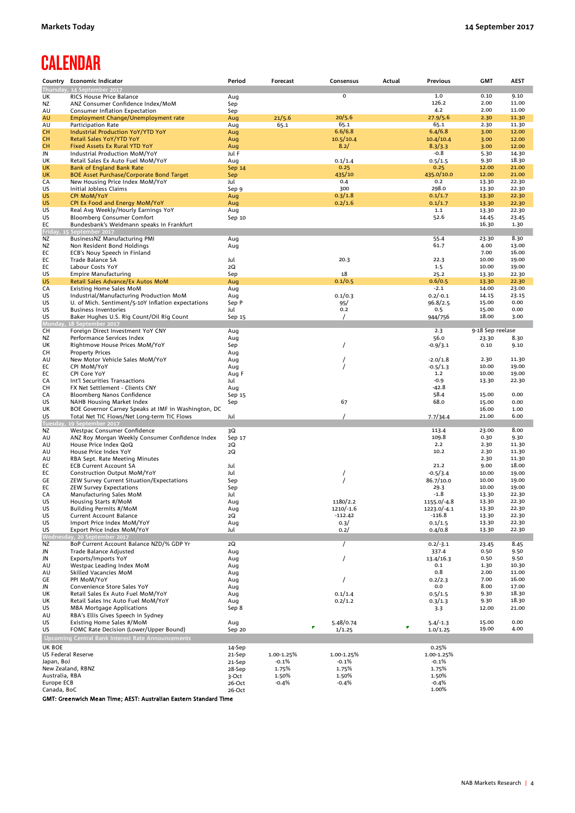# **CALENDAR**

|                        | Country Economic Indicator                                                          | Period           | Forecast   | Consensus       | Actual | Previous                   | <b>GMT</b>       | <b>AEST</b>    |
|------------------------|-------------------------------------------------------------------------------------|------------------|------------|-----------------|--------|----------------------------|------------------|----------------|
|                        | Thursday, 14 September 2017                                                         |                  |            |                 |        |                            |                  |                |
| UK                     | RICS House Price Balance                                                            | Aug              |            | $\overline{0}$  |        | 1.0                        | 0.10             | 9.10           |
| ΝZ<br>AU               | ANZ Consumer Confidence Index/MoM<br>Consumer Inflation Expectation                 | Sep              |            |                 |        | 126.2<br>4.2               | 2.00<br>2.00     | 11.00<br>11.00 |
| AU                     | Employment Change/Unemployment rate                                                 | Sep<br>Aug       | 21/5.6     | 20/5.6          |        | 27.9/5.6                   | 2.30             | 11.30          |
| AU                     | Participation Rate                                                                  | Aug              | 65.1       | 65.1            |        | 65.1                       | 2.30             | 11.30          |
| <b>CH</b>              | Industrial Production YoY/YTD YoY                                                   | Aug              |            | 6.6/6.8         |        | 6.4/6.8                    | 3.00             | 12.00          |
| <b>CH</b>              | Retail Sales YoY/YTD YoY                                                            | Aug              |            | 10.5/10.4       |        | 10.4/10.4                  | 3.00             | 12.00          |
| <b>CH</b>              | <b>Fixed Assets Ex Rural YTD YoY</b>                                                | Aug              |            | 8.2/            |        | 8.3/3.3                    | 3.00             | 12.00          |
| JN                     | Industrial Production MoM/YoY                                                       | Jul F            |            |                 |        | $-0.8$                     | 5.30             | 14.30          |
| UK                     | Retail Sales Ex Auto Fuel MoM/YoY                                                   | Aug              |            | 0.1/1.4<br>0.25 |        | 0.5/1.5<br>0.25            | 9.30<br>12.00    | 18.30<br>21.00 |
| <b>UK</b><br><b>UK</b> | <b>Bank of England Bank Rate</b><br><b>BOE Asset Purchase/Corporate Bond Target</b> | Sep 14<br>Sep    |            | 435/10          |        | 435.0/10.0                 | 12.00            | 21.00          |
| CA                     | New Housing Price Index MoM/YoY                                                     | Jul              |            | 0.4             |        | 0.2                        | 13.30            | 22.30          |
| US                     | Initial Jobless Claims                                                              | Sep 9            |            | 300             |        | 298.0                      | 13.30            | 22.30          |
| US                     | <b>CPI MoM/YoY</b>                                                                  | Aug              |            | 0.3/1.8         |        | 0.1/1.7                    | 13.30            | 22.30          |
| <b>US</b>              | CPI Ex Food and Energy MoM/YoY                                                      | Aug              |            | 0.2/1.6         |        | 0.1/1.7                    | 13.30            | 22.30          |
| US                     | Real Avg Weekly/Hourly Earnings YoY                                                 | Aug              |            |                 |        | 1.1                        | 13.30            | 22.30          |
| US                     | Bloomberg Consumer Comfort                                                          | Sep 10           |            |                 |        | 52.6                       | 14.45            | 23.45          |
| EC                     | Bundesbank's Weidmann speaks in Frankfurt<br>Friday, 15 September 2017              |                  |            |                 |        |                            | 16.30            | 1.30           |
| ΝZ                     | BusinessNZ Manufacturing PMI                                                        | Aug              |            |                 |        | 55.4                       | 23.30            | 8.30           |
| ΝZ                     | Non Resident Bond Holdings                                                          | Aug              |            |                 |        | 61.7                       | 4.00             | 13.00          |
| EC                     | ECB's Nouy Speech in Finland                                                        |                  |            |                 |        |                            | 7.00             | 16.00          |
| EC                     | Trade Balance SA                                                                    | Jul              |            | 20.3            |        | 22.3                       | 10.00            | 19.00          |
| EC                     | Labour Costs YoY                                                                    | 2Q               |            |                 |        | 1.5                        | 10.00            | 19.00          |
| US                     | <b>Empire Manufacturing</b>                                                         | Sep              |            | 18              |        | 25.2                       | 13.30            | 22.30          |
| <b>US</b><br>CA        | Retail Sales Advance/Ex Autos MoM<br>Existing Home Sales MoM                        | Aug<br>Aug       |            | 0.1/0.5         |        | 0.6/0.5<br>$-2.1$          | 13.30<br>14.00   | 22.30<br>23.00 |
| US                     | Industrial/Manufacturing Production MoM                                             | Aug              |            | 0.1/0.3         |        | $0.2/-0.1$                 | 14.15            | 23.15          |
| US                     | U. of Mich. Sentiment/5-10Y Inflation expectations                                  | Sep P            |            | 95/             |        | 96.8/2.5                   | 15.00            | 0.00           |
| US                     | <b>Business Inventories</b>                                                         | Jul              |            | 0.2             |        | 0.5                        | 15.00            | 0.00           |
| US                     | Baker Hughes U.S. Rig Count/Oil Rig Count                                           | Sep 15           |            |                 |        | 944/756                    | 18.00            | 3.00           |
| Monda                  | 18 September 2017                                                                   |                  |            |                 |        |                            |                  |                |
| CН                     | Foreign Direct Investment YoY CNY                                                   | Aug              |            |                 |        | 2.3                        | 9-18 Sep reelase |                |
| ΝZ                     | Performance Services Index                                                          | Aug              |            |                 |        | 56.0                       | 23.30<br>0.10    | 8.30<br>9.10   |
| UK<br>CН               | Rightmove House Prices MoM/YoY<br><b>Property Prices</b>                            | Sep<br>Aug       |            |                 |        | $-0.9/3.1$                 |                  |                |
| AU                     | New Motor Vehicle Sales MoM/YoY                                                     | Aug              |            |                 |        | $-2.0/1.8$                 | 2.30             | 11.30          |
| EC                     | CPI MoM/YoY                                                                         | Aug              |            | 7               |        | $-0.5/1.3$                 | 10.00            | 19.00          |
| EC                     | CPI Core YoY                                                                        | Aug F            |            |                 |        | 1.2                        | 10.00            | 19.00          |
| CA                     | Int'l Securities Transactions                                                       | Jul              |            |                 |        | $-0.9$                     | 13.30            | 22.30          |
| CН                     | FX Net Settlement - Clients CNY                                                     | Aug              |            |                 |        | -42.8                      |                  |                |
| CA<br>US               | Bloomberg Nanos Confidence<br>NAHB Housing Market Index                             | Sep 15<br>Sep    |            | 67              |        | 58.4<br>68.0               | 15.00<br>15.00   | 0.00<br>0.00   |
| UK                     | BOE Governor Carney Speaks at IMF in Washington, DC                                 |                  |            |                 |        |                            | 16.00            | 1.00           |
| US                     | Total Net TIC Flows/Net Long-term TIC Flows                                         | Jul              |            |                 |        | 7.7/34.4                   | 21.00            | 6.00           |
| <b>Tuesda</b>          | 19 September 2017                                                                   |                  |            |                 |        |                            |                  |                |
| ΝZ                     | Westpac Consumer Confidence                                                         | 3Q               |            |                 |        | 113.4                      | 23.00            | 8.00           |
| AU                     | ANZ Roy Morgan Weekly Consumer Confidence Index                                     | Sep 17           |            |                 |        | 109.8                      | 0.30             | 9.30           |
| AU                     | House Price Index QoQ                                                               | 2Q               |            |                 |        | 2.2<br>10.2                | 2.30<br>2.30     | 11.30<br>11.30 |
| AU<br>AU               | House Price Index YoY<br>RBA Sept. Rate Meeting Minutes                             | 2Q               |            |                 |        |                            | 2.30             | 11.30          |
| EC                     | <b>ECB Current Account SA</b>                                                       | Jul              |            |                 |        | 21.2                       | 9.00             | 18.00          |
| EC                     | <b>Construction Output MoM/YoY</b>                                                  | Jul              |            |                 |        | $-0.5/3.4$                 | 10.00            | 19.00          |
| GE                     | ZEW Survey Current Situation/Expectations                                           | Sep              |            |                 |        | 86.7/10.0                  | 10.00            | 19.00          |
| EC                     | ZEW Survey Expectations                                                             | Sep              |            |                 |        | 29.3                       | 10.00            | 19.00          |
| CA                     | Manufacturing Sales MoM                                                             | Jul              |            | 1180/2.2        |        | $-1.8$                     | 13.30            | 22.30<br>22.30 |
| US<br>US               | Housing Starts #/MoM<br><b>Building Permits #/MoM</b>                               | Aug              |            | $1210/-1.6$     |        | 1155.0/-4.8<br>1223.0/-4.1 | 13.30<br>13.30   | 22.30          |
| US                     | <b>Current Account Balance</b>                                                      | Aug<br>2Q        |            | -112.42         |        | $-116.8$                   | 13.30            | 22.30          |
| US                     | Import Price Index MoM/YoY                                                          | Aug              |            | 0.3/            |        | 0.1/1.5                    | 13.30            | 22.30          |
| US                     | Export Price Index MoM/YoY                                                          | Jul              |            | 0.2/            |        | 0.4/0.8                    | 13.30            | 22.30          |
|                        | Wednesday, 20 September 2017                                                        |                  |            |                 |        |                            |                  |                |
| ΝZ                     | BoP Current Account Balance NZD/% GDP Yr                                            | 2Q               |            | $\prime$        |        | $0.2/-3.1$                 | 23.45            | 8.45           |
| JN                     | <b>Trade Balance Adjusted</b><br>Exports/Imports YoY                                | Aug              |            |                 |        | 337.4                      | 0.50<br>0.50     | 9.50           |
| JN<br>AU               | Westpac Leading Index MoM                                                           | Aug<br>Aug       |            | 7               |        | 13.4/16.3<br>0.1           | 1.30             | 9.50<br>10.30  |
| AU                     | Skilled Vacancies MoM                                                               | Aug              |            |                 |        | 0.8                        | 2.00             | 11.00          |
| GE                     | PPI MoM/YoY                                                                         | Aug              |            |                 |        | 0.2/2.3                    | 7.00             | 16.00          |
| JN                     | Convenience Store Sales YoY                                                         | Aug              |            |                 |        | 0.0                        | 8.00             | 17.00          |
| UK                     | Retail Sales Ex Auto Fuel MoM/YoY                                                   | Aug              |            | 0.1/1.4         |        | 0.5/1.5                    | 9.30             | 18.30          |
| UK                     | Retail Sales Inc Auto Fuel MoM/YoY                                                  | Aug              |            | 0.2/1.2         |        | 0.3/1.3                    | 9.30             | 18.30          |
| US                     | <b>MBA Mortgage Applications</b>                                                    | Sep 8            |            |                 |        | 3.3                        | 12.00            | 21.00          |
| AU<br>US               | RBA's Ellis Gives Speech in Sydney<br>Existing Home Sales #/MoM                     | Aug              |            | 5.48/0.74       |        | $5.4/-1.3$                 | 15.00            | 0.00           |
| US                     | FOMC Rate Decision (Lower/Upper Bound)                                              | Sep 20           |            | F<br>1/1.25     |        | 1.0/1.25                   | 19.00            | 4.00           |
|                        | <b>Upcoming Central Bank Interest Rate Announcements</b>                            |                  |            |                 |        |                            |                  |                |
| UK BOE                 |                                                                                     |                  |            |                 |        | 0.25%                      |                  |                |
| US Federal Reserve     |                                                                                     | 14-Sep<br>21-Sep | 1.00-1.25% | 1.00-1.25%      |        | 1.00-1.25%                 |                  |                |
| Japan, BoJ             |                                                                                     | 21-Sep           | $-0.1%$    | $-0.1%$         |        | $-0.1%$                    |                  |                |
|                        | New Zealand, RBNZ                                                                   | 28-Sep           | 1.75%      | 1.75%           |        | 1.75%                      |                  |                |
| Australia, RBA         |                                                                                     | 3-Oct            | 1.50%      | 1.50%           |        | 1.50%                      |                  |                |
| Europe ECB             |                                                                                     | 26-Oct           | $-0.4%$    | $-0.4%$         |        | $-0.4%$                    |                  |                |
| Canada, BoC            |                                                                                     | 26-Oct           |            |                 |        | 1.00%                      |                  |                |

GMT: Greenwich Mean Time; AEST: Australian Eastern Standard Time